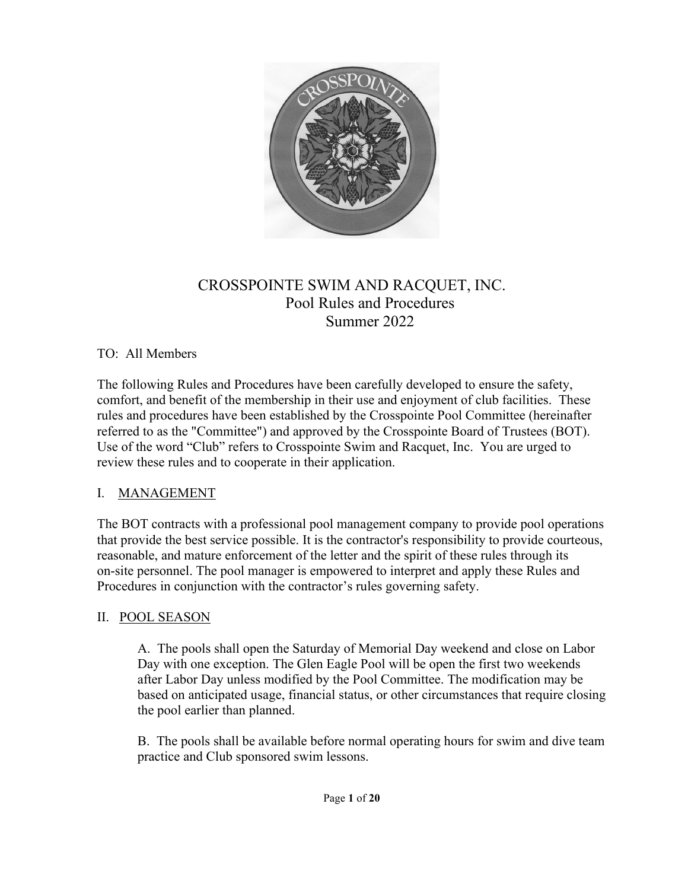

## CROSSPOINTE SWIM AND RACQUET, INC. Pool Rules and Procedures Summer 2022

### TO: All Members

The following Rules and Procedures have been carefully developed to ensure the safety, comfort, and benefit of the membership in their use and enjoyment of club facilities. These rules and procedures have been established by the Crosspointe Pool Committee (hereinafter referred to as the "Committee") and approved by the Crosspointe Board of Trustees (BOT). Use of the word "Club" refers to Crosspointe Swim and Racquet, Inc. You are urged to review these rules and to cooperate in their application.

#### I. MANAGEMENT

The BOT contracts with a professional pool management company to provide pool operations that provide the best service possible. It is the contractor's responsibility to provide courteous, reasonable, and mature enforcement of the letter and the spirit of these rules through its on-site personnel. The pool manager is empowered to interpret and apply these Rules and Procedures in conjunction with the contractor's rules governing safety.

### II. POOL SEASON

A. The pools shall open the Saturday of Memorial Day weekend and close on Labor Day with one exception. The Glen Eagle Pool will be open the first two weekends after Labor Day unless modified by the Pool Committee. The modification may be based on anticipated usage, financial status, or other circumstances that require closing the pool earlier than planned.

B. The pools shall be available before normal operating hours for swim and dive team practice and Club sponsored swim lessons.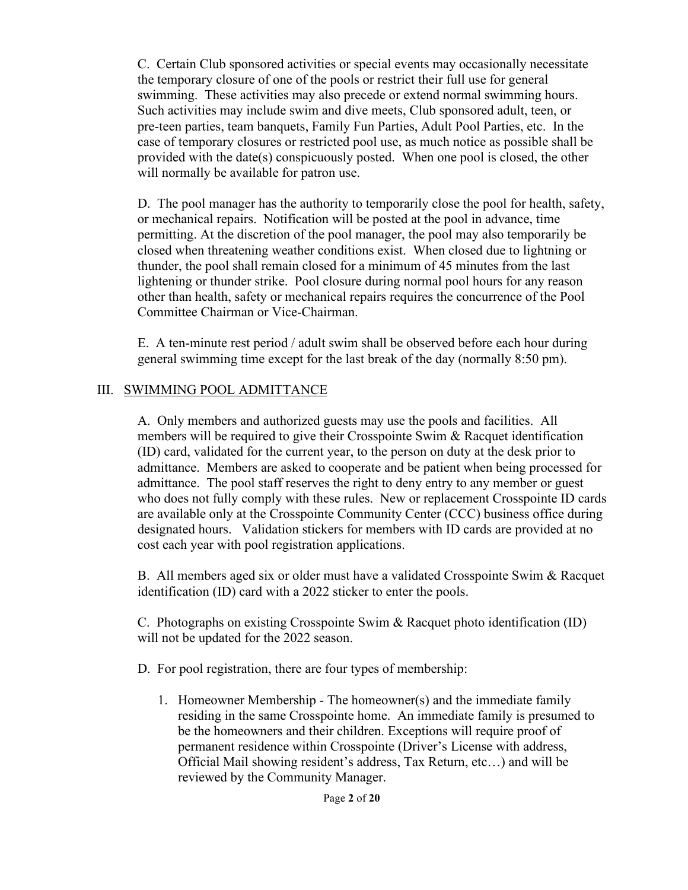C. Certain Club sponsored activities or special events may occasionally necessitate the temporary closure of one of the pools or restrict their full use for general swimming. These activities may also precede or extend normal swimming hours. Such activities may include swim and dive meets, Club sponsored adult, teen, or pre-teen parties, team banquets, Family Fun Parties, Adult Pool Parties, etc. In the case of temporary closures or restricted pool use, as much notice as possible shall be provided with the date(s) conspicuously posted. When one pool is closed, the other will normally be available for patron use.

D. The pool manager has the authority to temporarily close the pool for health, safety, or mechanical repairs. Notification will be posted at the pool in advance, time permitting. At the discretion of the pool manager, the pool may also temporarily be closed when threatening weather conditions exist. When closed due to lightning or thunder, the pool shall remain closed for a minimum of 45 minutes from the last lightening or thunder strike. Pool closure during normal pool hours for any reason other than health, safety or mechanical repairs requires the concurrence of the Pool Committee Chairman or Vice-Chairman.

E. A ten-minute rest period / adult swim shall be observed before each hour during general swimming time except for the last break of the day (normally 8:50 pm).

### III. SWIMMING POOL ADMITTANCE

A. Only members and authorized guests may use the pools and facilities. All members will be required to give their Crosspointe Swim & Racquet identification (ID) card, validated for the current year, to the person on duty at the desk prior to admittance. Members are asked to cooperate and be patient when being processed for admittance. The pool staff reserves the right to deny entry to any member or guest who does not fully comply with these rules. New or replacement Crosspointe ID cards are available only at the Crosspointe Community Center (CCC) business office during designated hours. Validation stickers for members with ID cards are provided at no cost each year with pool registration applications.

B. All members aged six or older must have a validated Crosspointe Swim & Racquet identification (ID) card with a 2022 sticker to enter the pools.

C. Photographs on existing Crosspointe Swim & Racquet photo identification (ID) will not be updated for the 2022 season.

D. For pool registration, there are four types of membership:

1. Homeowner Membership - The homeowner(s) and the immediate family residing in the same Crosspointe home. An immediate family is presumed to be the homeowners and their children. Exceptions will require proof of permanent residence within Crosspointe (Driver's License with address, Official Mail showing resident's address, Tax Return, etc…) and will be reviewed by the Community Manager.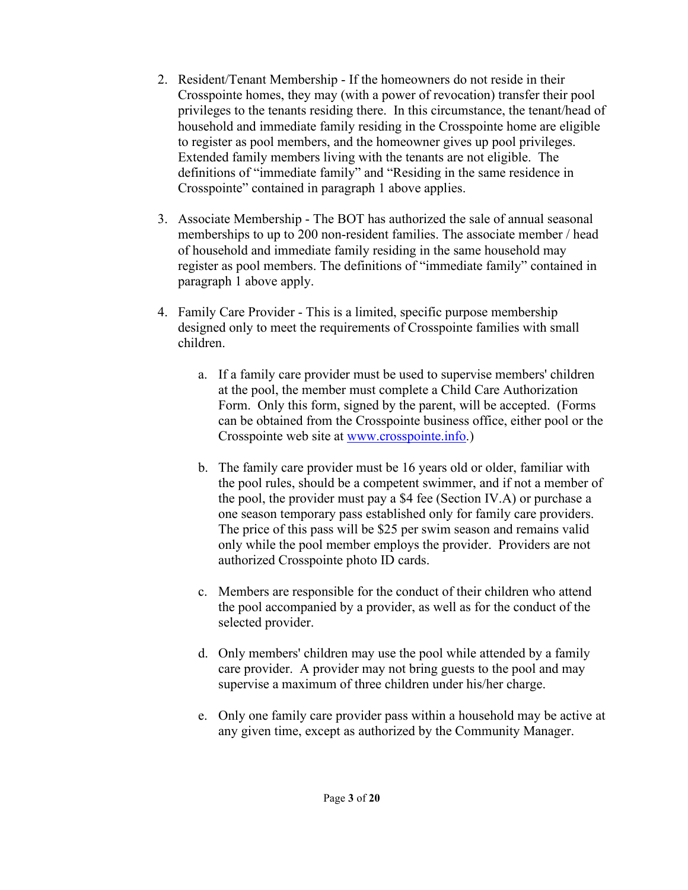- 2. Resident/Tenant Membership If the homeowners do not reside in their Crosspointe homes, they may (with a power of revocation) transfer their pool privileges to the tenants residing there. In this circumstance, the tenant/head of household and immediate family residing in the Crosspointe home are eligible to register as pool members, and the homeowner gives up pool privileges. Extended family members living with the tenants are not eligible. The definitions of "immediate family" and "Residing in the same residence in Crosspointe" contained in paragraph 1 above applies.
- 3. Associate Membership The BOT has authorized the sale of annual seasonal memberships to up to 200 non-resident families. The associate member / head of household and immediate family residing in the same household may register as pool members. The definitions of "immediate family" contained in paragraph 1 above apply.
- 4. Family Care Provider This is a limited, specific purpose membership designed only to meet the requirements of Crosspointe families with small children.
	- a. If a family care provider must be used to supervise members' children at the pool, the member must complete a Child Care Authorization Form. Only this form, signed by the parent, will be accepted. (Forms can be obtained from the Crosspointe business office, either pool or the Crosspointe web site at [www.crosspointe.info.](http://www.crosspointe.info/))
	- b. The family care provider must be 16 years old or older, familiar with the pool rules, should be a competent swimmer, and if not a member of the pool, the provider must pay a \$4 fee (Section IV.A) or purchase a one season temporary pass established only for family care providers. The price of this pass will be \$25 per swim season and remains valid only while the pool member employs the provider. Providers are not authorized Crosspointe photo ID cards.
	- c. Members are responsible for the conduct of their children who attend the pool accompanied by a provider, as well as for the conduct of the selected provider.
	- d. Only members' children may use the pool while attended by a family care provider. A provider may not bring guests to the pool and may supervise a maximum of three children under his/her charge.
	- e. Only one family care provider pass within a household may be active at any given time, except as authorized by the Community Manager.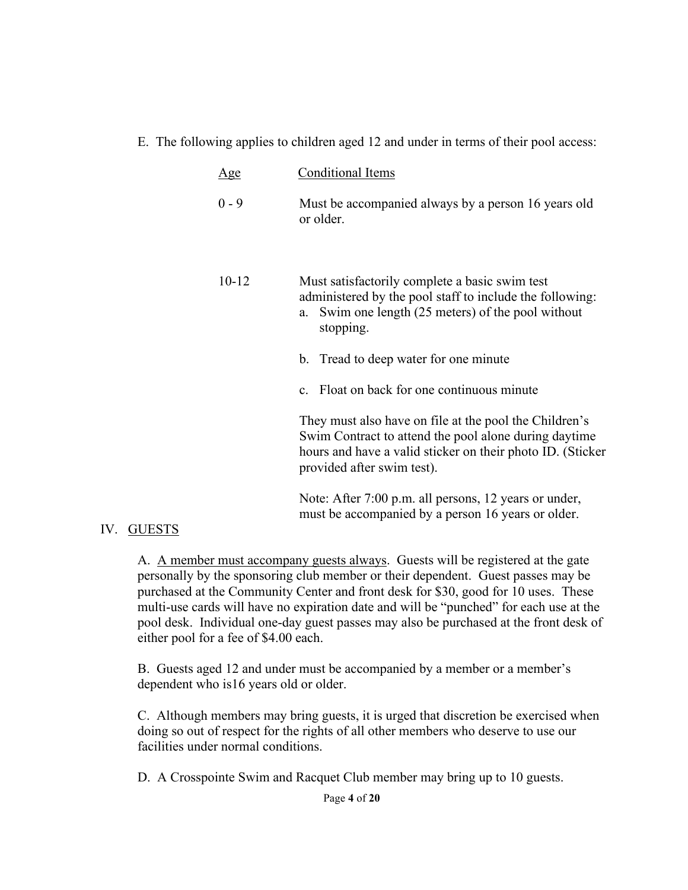#### E. The following applies to children aged 12 and under in terms of their pool access:

| <u>Age</u> | Conditional Items                                                                                                                                                                                           |
|------------|-------------------------------------------------------------------------------------------------------------------------------------------------------------------------------------------------------------|
| $0 - 9$    | Must be accompanied always by a person 16 years old<br>or older.                                                                                                                                            |
| $10 - 12$  | Must satisfactorily complete a basic swim test<br>administered by the pool staff to include the following:<br>Swim one length (25 meters) of the pool without<br>a.<br>stopping.                            |
|            | Tread to deep water for one minute<br>b.                                                                                                                                                                    |
|            | c. Float on back for one continuous minute                                                                                                                                                                  |
|            | They must also have on file at the pool the Children's<br>Swim Contract to attend the pool alone during daytime<br>hours and have a valid sticker on their photo ID. (Sticker<br>provided after swim test). |
|            | Note: After 7:00 p.m. all persons, 12 years or under,                                                                                                                                                       |

must be accompanied by a person 16 years or older.

#### IV. GUESTS

A. A member must accompany guests always. Guests will be registered at the gate personally by the sponsoring club member or their dependent. Guest passes may be purchased at the Community Center and front desk for \$30, good for 10 uses. These multi-use cards will have no expiration date and will be "punched" for each use at the pool desk. Individual one-day guest passes may also be purchased at the front desk of either pool for a fee of \$4.00 each.

B. Guests aged 12 and under must be accompanied by a member or a member's dependent who is16 years old or older.

C. Although members may bring guests, it is urged that discretion be exercised when doing so out of respect for the rights of all other members who deserve to use our facilities under normal conditions.

D. A Crosspointe Swim and Racquet Club member may bring up to 10 guests.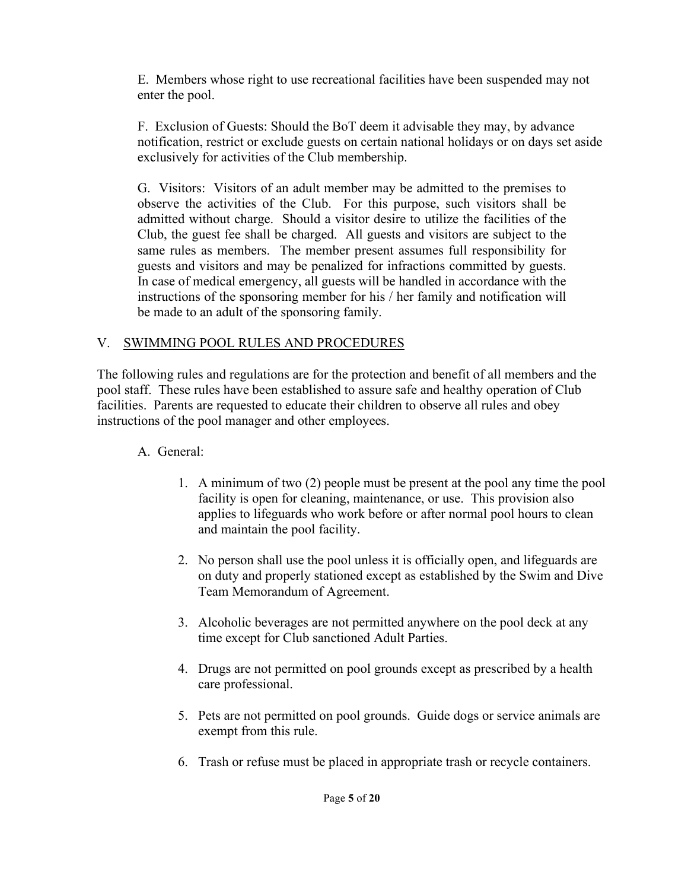E. Members whose right to use recreational facilities have been suspended may not enter the pool.

F. Exclusion of Guests: Should the BoT deem it advisable they may, by advance notification, restrict or exclude guests on certain national holidays or on days set aside exclusively for activities of the Club membership.

G. Visitors: Visitors of an adult member may be admitted to the premises to observe the activities of the Club. For this purpose, such visitors shall be admitted without charge. Should a visitor desire to utilize the facilities of the Club, the guest fee shall be charged. All guests and visitors are subject to the same rules as members. The member present assumes full responsibility for guests and visitors and may be penalized for infractions committed by guests. In case of medical emergency, all guests will be handled in accordance with the instructions of the sponsoring member for his / her family and notification will be made to an adult of the sponsoring family.

## V. SWIMMING POOL RULES AND PROCEDURES

The following rules and regulations are for the protection and benefit of all members and the pool staff. These rules have been established to assure safe and healthy operation of Club facilities. Parents are requested to educate their children to observe all rules and obey instructions of the pool manager and other employees.

## A. General:

- 1. A minimum of two (2) people must be present at the pool any time the pool facility is open for cleaning, maintenance, or use. This provision also applies to lifeguards who work before or after normal pool hours to clean and maintain the pool facility.
- 2. No person shall use the pool unless it is officially open, and lifeguards are on duty and properly stationed except as established by the Swim and Dive Team Memorandum of Agreement.
- 3. Alcoholic beverages are not permitted anywhere on the pool deck at any time except for Club sanctioned Adult Parties.
- 4. Drugs are not permitted on pool grounds except as prescribed by a health care professional.
- 5. Pets are not permitted on pool grounds. Guide dogs or service animals are exempt from this rule.
- 6. Trash or refuse must be placed in appropriate trash or recycle containers.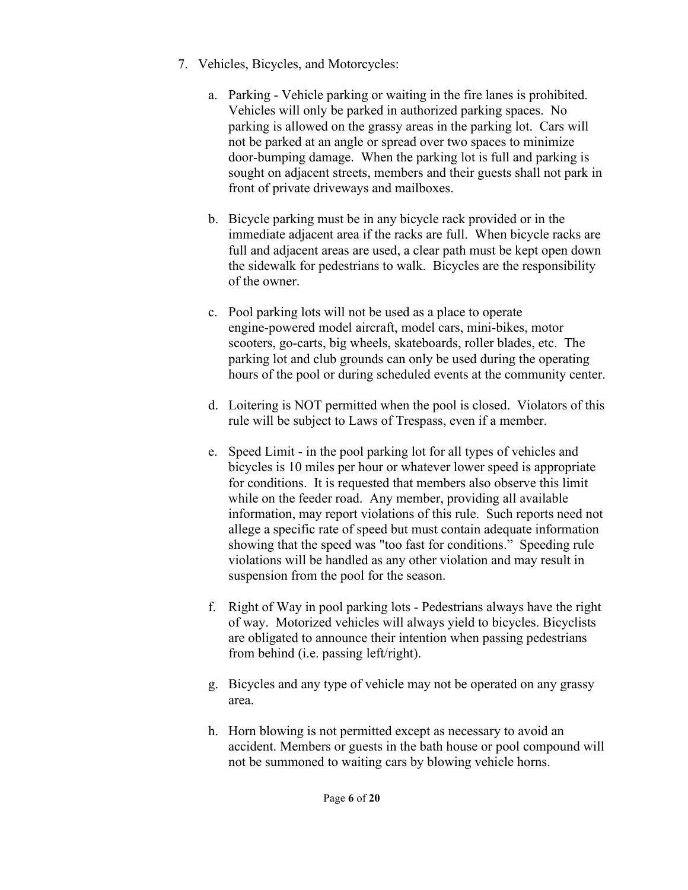- 7. Vehicles, Bicycles, and Motorcycles:
	- a. Parking Vehicle parking or waiting in the fire lanes is prohibited. Vehicles will only be parked in authorized parking spaces. No parking is allowed on the grassy areas in the parking lot. Cars will not be parked at an angle or spread over two spaces to minimize door-bumping damage. When the parking lot is full and parking is sought on adjacent streets, members and their guests shall not park in front of private driveways and mailboxes.
	- b. Bicycle parking must be in any bicycle rack provided or in the immediate adjacent area if the racks are full. When bicycle racks are full and adjacent areas are used, a clear path must be kept open down the sidewalk for pedestrians to walk. Bicycles are the responsibility of the owner.
	- c. Pool parking lots will not be used as a place to operate engine-powered model aircraft, model cars, mini-bikes, motor scooters, go-carts, big wheels, skateboards, roller blades, etc. The parking lot and club grounds can only be used during the operating hours of the pool or during scheduled events at the community center.
	- d. Loitering is NOT permitted when the pool is closed. Violators of this rule will be subject to Laws of Trespass, even if a member.
	- e. Speed Limit in the pool parking lot for all types of vehicles and bicycles is 10 miles per hour or whatever lower speed is appropriate for conditions. It is requested that members also observe this limit while on the feeder road. Any member, providing all available information, may report violations of this rule. Such reports need not allege a specific rate of speed but must contain adequate information showing that the speed was "too fast for conditions." Speeding rule violations will be handled as any other violation and may result in suspension from the pool for the season.
	- f. Right of Way in pool parking lots Pedestrians always have the right of way. Motorized vehicles will always yield to bicycles. Bicyclists are obligated to announce their intention when passing pedestrians from behind (i.e. passing left/right).
	- g. Bicycles and any type of vehicle may not be operated on any grassy area.
	- h. Horn blowing is not permitted except as necessary to avoid an accident. Members or guests in the bath house or pool compound will not be summoned to waiting cars by blowing vehicle horns.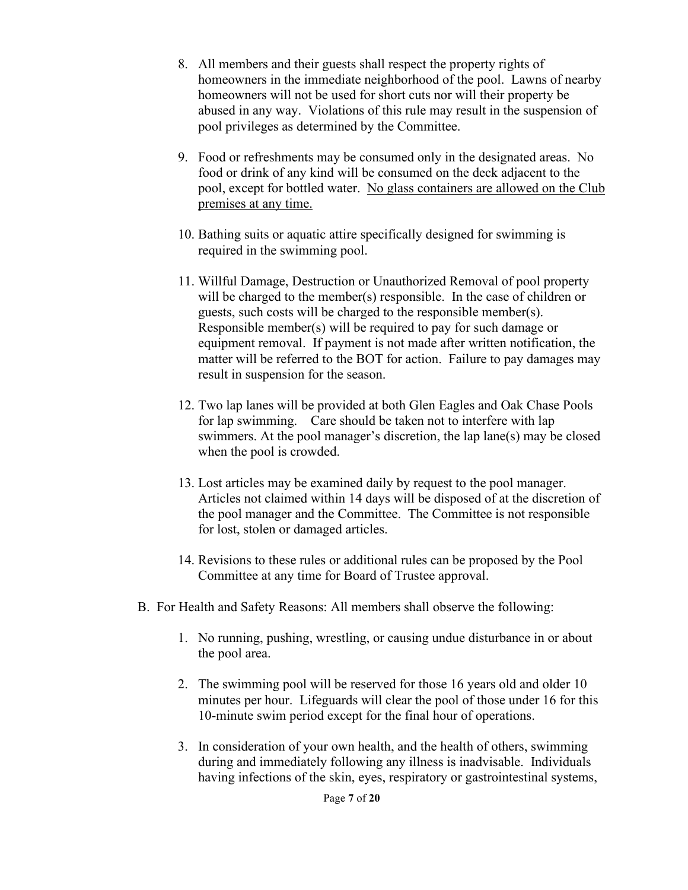- 8. All members and their guests shall respect the property rights of homeowners in the immediate neighborhood of the pool. Lawns of nearby homeowners will not be used for short cuts nor will their property be abused in any way. Violations of this rule may result in the suspension of pool privileges as determined by the Committee.
- 9. Food or refreshments may be consumed only in the designated areas. No food or drink of any kind will be consumed on the deck adjacent to the pool, except for bottled water. No glass containers are allowed on the Club premises at any time.
- 10. Bathing suits or aquatic attire specifically designed for swimming is required in the swimming pool.
- 11. Willful Damage, Destruction or Unauthorized Removal of pool property will be charged to the member(s) responsible. In the case of children or guests, such costs will be charged to the responsible member(s). Responsible member(s) will be required to pay for such damage or equipment removal. If payment is not made after written notification, the matter will be referred to the BOT for action. Failure to pay damages may result in suspension for the season.
- 12. Two lap lanes will be provided at both Glen Eagles and Oak Chase Pools for lap swimming. Care should be taken not to interfere with lap swimmers. At the pool manager's discretion, the lap lane(s) may be closed when the pool is crowded.
- 13. Lost articles may be examined daily by request to the pool manager. Articles not claimed within 14 days will be disposed of at the discretion of the pool manager and the Committee. The Committee is not responsible for lost, stolen or damaged articles.
- 14. Revisions to these rules or additional rules can be proposed by the Pool Committee at any time for Board of Trustee approval.
- B. For Health and Safety Reasons: All members shall observe the following:
	- 1. No running, pushing, wrestling, or causing undue disturbance in or about the pool area.
	- 2. The swimming pool will be reserved for those 16 years old and older 10 minutes per hour. Lifeguards will clear the pool of those under 16 for this 10-minute swim period except for the final hour of operations.
	- 3. In consideration of your own health, and the health of others, swimming during and immediately following any illness is inadvisable. Individuals having infections of the skin, eyes, respiratory or gastrointestinal systems,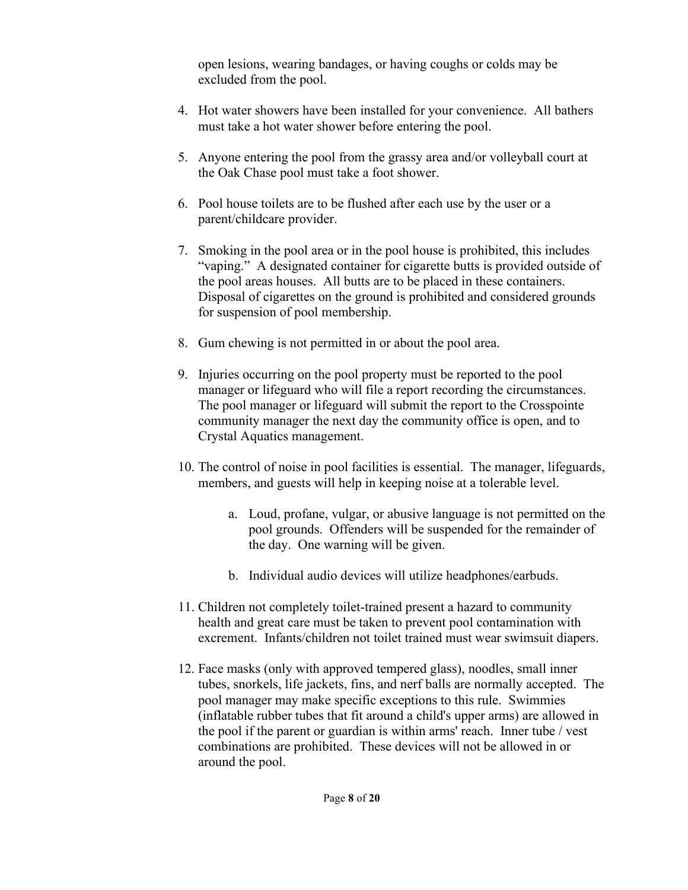open lesions, wearing bandages, or having coughs or colds may be excluded from the pool.

- 4. Hot water showers have been installed for your convenience. All bathers must take a hot water shower before entering the pool.
- 5. Anyone entering the pool from the grassy area and/or volleyball court at the Oak Chase pool must take a foot shower.
- 6. Pool house toilets are to be flushed after each use by the user or a parent/childcare provider.
- 7. Smoking in the pool area or in the pool house is prohibited, this includes "vaping." A designated container for cigarette butts is provided outside of the pool areas houses. All butts are to be placed in these containers. Disposal of cigarettes on the ground is prohibited and considered grounds for suspension of pool membership.
- 8. Gum chewing is not permitted in or about the pool area.
- 9. Injuries occurring on the pool property must be reported to the pool manager or lifeguard who will file a report recording the circumstances. The pool manager or lifeguard will submit the report to the Crosspointe community manager the next day the community office is open, and to Crystal Aquatics management.
- 10. The control of noise in pool facilities is essential. The manager, lifeguards, members, and guests will help in keeping noise at a tolerable level.
	- a. Loud, profane, vulgar, or abusive language is not permitted on the pool grounds. Offenders will be suspended for the remainder of the day. One warning will be given.
	- b. Individual audio devices will utilize headphones/earbuds.
- 11. Children not completely toilet-trained present a hazard to community health and great care must be taken to prevent pool contamination with excrement. Infants/children not toilet trained must wear swimsuit diapers.
- 12. Face masks (only with approved tempered glass), noodles, small inner tubes, snorkels, life jackets, fins, and nerf balls are normally accepted. The pool manager may make specific exceptions to this rule. Swimmies (inflatable rubber tubes that fit around a child's upper arms) are allowed in the pool if the parent or guardian is within arms' reach. Inner tube / vest combinations are prohibited. These devices will not be allowed in or around the pool.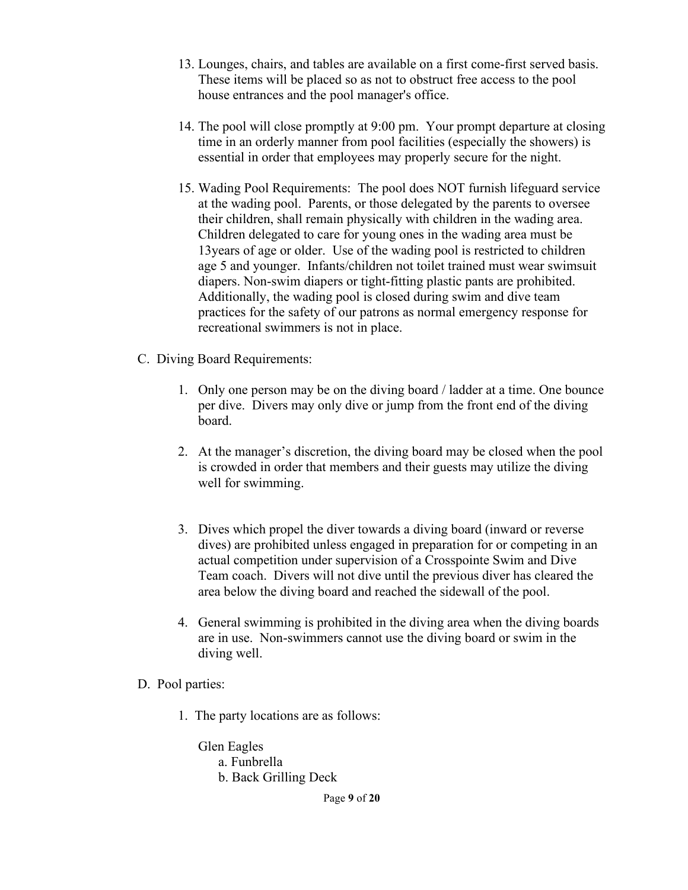- 13. Lounges, chairs, and tables are available on a first come-first served basis. These items will be placed so as not to obstruct free access to the pool house entrances and the pool manager's office.
- 14. The pool will close promptly at 9:00 pm. Your prompt departure at closing time in an orderly manner from pool facilities (especially the showers) is essential in order that employees may properly secure for the night.
- 15. Wading Pool Requirements: The pool does NOT furnish lifeguard service at the wading pool. Parents, or those delegated by the parents to oversee their children, shall remain physically with children in the wading area. Children delegated to care for young ones in the wading area must be 13years of age or older. Use of the wading pool is restricted to children age 5 and younger. Infants/children not toilet trained must wear swimsuit diapers. Non-swim diapers or tight-fitting plastic pants are prohibited. Additionally, the wading pool is closed during swim and dive team practices for the safety of our patrons as normal emergency response for recreational swimmers is not in place.
- C. Diving Board Requirements:
	- 1. Only one person may be on the diving board / ladder at a time. One bounce per dive. Divers may only dive or jump from the front end of the diving board.
	- 2. At the manager's discretion, the diving board may be closed when the pool is crowded in order that members and their guests may utilize the diving well for swimming.
	- 3. Dives which propel the diver towards a diving board (inward or reverse dives) are prohibited unless engaged in preparation for or competing in an actual competition under supervision of a Crosspointe Swim and Dive Team coach. Divers will not dive until the previous diver has cleared the area below the diving board and reached the sidewall of the pool.
	- 4. General swimming is prohibited in the diving area when the diving boards are in use. Non-swimmers cannot use the diving board or swim in the diving well.
- D. Pool parties:
	- 1. The party locations are as follows:

Glen Eagles a. Funbrella

b. Back Grilling Deck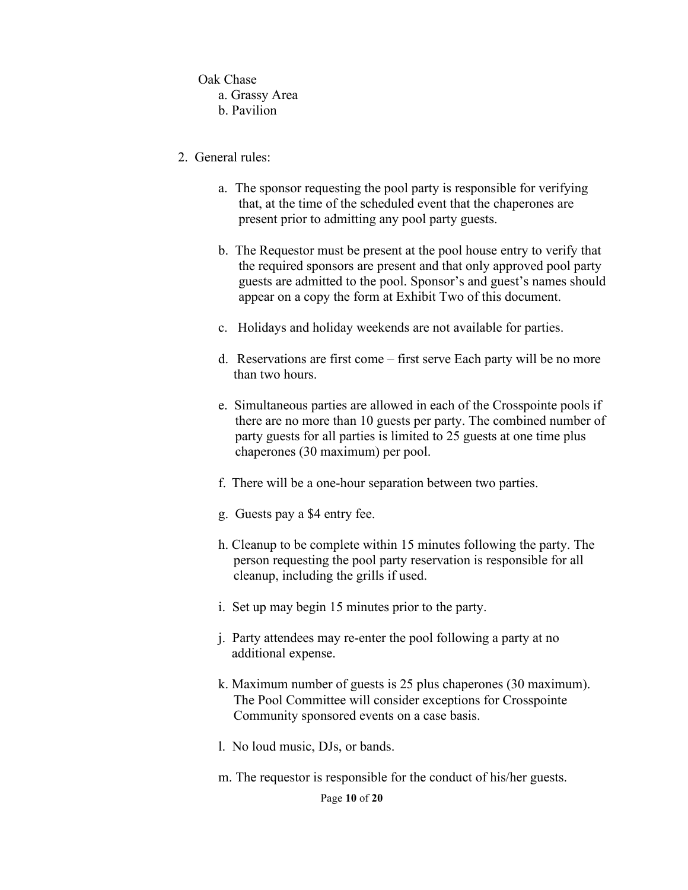Oak Chase a. Grassy Area b. Pavilion

- 2. General rules:
	- a. The sponsor requesting the pool party is responsible for verifying that, at the time of the scheduled event that the chaperones are present prior to admitting any pool party guests.
	- b. The Requestor must be present at the pool house entry to verify that the required sponsors are present and that only approved pool party guests are admitted to the pool. Sponsor's and guest's names should appear on a copy the form at Exhibit Two of this document.
	- c. Holidays and holiday weekends are not available for parties.
	- d. Reservations are first come first serve Each party will be no more than two hours.
	- e. Simultaneous parties are allowed in each of the Crosspointe pools if there are no more than 10 guests per party. The combined number of party guests for all parties is limited to 25 guests at one time plus chaperones (30 maximum) per pool.
	- f. There will be a one-hour separation between two parties.
	- g. Guests pay a \$4 entry fee.
	- h. Cleanup to be complete within 15 minutes following the party. The person requesting the pool party reservation is responsible for all cleanup, including the grills if used.
	- i. Set up may begin 15 minutes prior to the party.
	- j. Party attendees may re-enter the pool following a party at no additional expense.
	- k. Maximum number of guests is 25 plus chaperones (30 maximum). The Pool Committee will consider exceptions for Crosspointe Community sponsored events on a case basis.
	- l. No loud music, DJs, or bands.
	- m. The requestor is responsible for the conduct of his/her guests.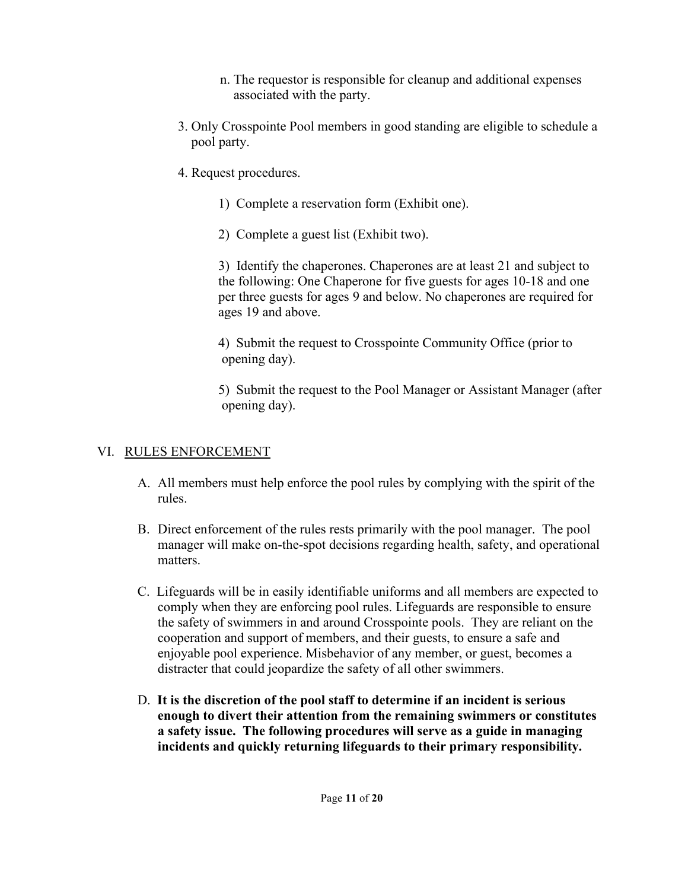- n. The requestor is responsible for cleanup and additional expenses associated with the party.
- 3. Only Crosspointe Pool members in good standing are eligible to schedule a pool party.
- 4. Request procedures.
	- 1) Complete a reservation form (Exhibit one).
	- 2) Complete a guest list (Exhibit two).

3) Identify the chaperones. Chaperones are at least 21 and subject to the following: One Chaperone for five guests for ages 10-18 and one per three guests for ages 9 and below. No chaperones are required for ages 19 and above.

4) Submit the request to Crosspointe Community Office (prior to opening day).

 5) Submit the request to the Pool Manager or Assistant Manager (after opening day).

## VI. RULES ENFORCEMENT

- A. All members must help enforce the pool rules by complying with the spirit of the rules.
- B. Direct enforcement of the rules rests primarily with the pool manager. The pool manager will make on-the-spot decisions regarding health, safety, and operational matters.
- C. Lifeguards will be in easily identifiable uniforms and all members are expected to comply when they are enforcing pool rules. Lifeguards are responsible to ensure the safety of swimmers in and around Crosspointe pools. They are reliant on the cooperation and support of members, and their guests, to ensure a safe and enjoyable pool experience. Misbehavior of any member, or guest, becomes a distracter that could jeopardize the safety of all other swimmers.
- D. **It is the discretion of the pool staff to determine if an incident is serious enough to divert their attention from the remaining swimmers or constitutes a safety issue. The following procedures will serve as a guide in managing incidents and quickly returning lifeguards to their primary responsibility.**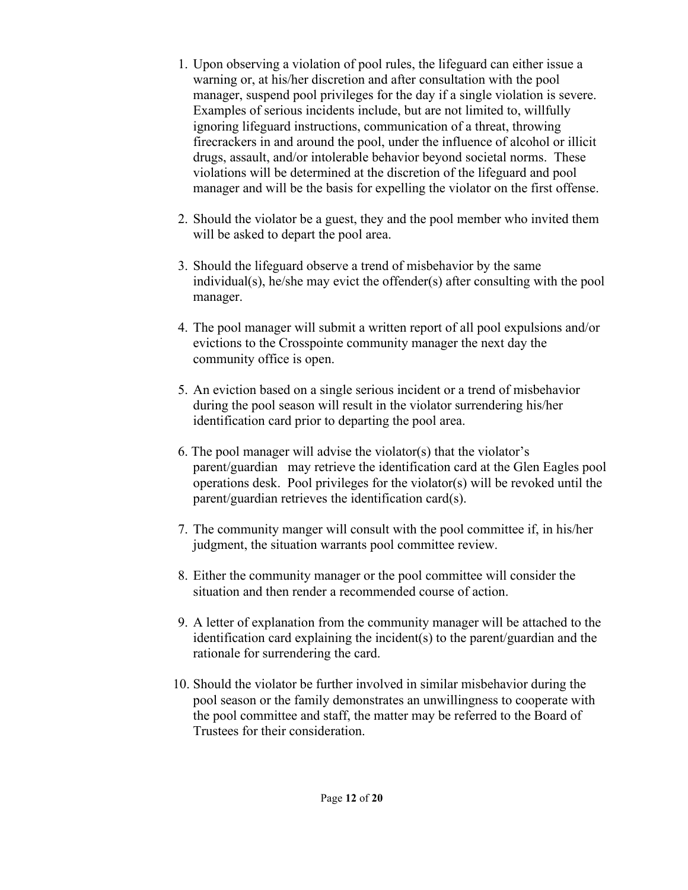- 1. Upon observing a violation of pool rules, the lifeguard can either issue a warning or, at his/her discretion and after consultation with the pool manager, suspend pool privileges for the day if a single violation is severe. Examples of serious incidents include, but are not limited to, willfully ignoring lifeguard instructions, communication of a threat, throwing firecrackers in and around the pool, under the influence of alcohol or illicit drugs, assault, and/or intolerable behavior beyond societal norms. These violations will be determined at the discretion of the lifeguard and pool manager and will be the basis for expelling the violator on the first offense.
- 2. Should the violator be a guest, they and the pool member who invited them will be asked to depart the pool area.
- 3. Should the lifeguard observe a trend of misbehavior by the same individual(s), he/she may evict the offender(s) after consulting with the pool manager.
- 4. The pool manager will submit a written report of all pool expulsions and/or evictions to the Crosspointe community manager the next day the community office is open.
- 5. An eviction based on a single serious incident or a trend of misbehavior during the pool season will result in the violator surrendering his/her identification card prior to departing the pool area.
- 6. The pool manager will advise the violator(s) that the violator's parent/guardian may retrieve the identification card at the Glen Eagles pool operations desk. Pool privileges for the violator(s) will be revoked until the parent/guardian retrieves the identification card(s).
- 7. The community manger will consult with the pool committee if, in his/her judgment, the situation warrants pool committee review.
- 8. Either the community manager or the pool committee will consider the situation and then render a recommended course of action.
- 9. A letter of explanation from the community manager will be attached to the identification card explaining the incident(s) to the parent/guardian and the rationale for surrendering the card.
- 10. Should the violator be further involved in similar misbehavior during the pool season or the family demonstrates an unwillingness to cooperate with the pool committee and staff, the matter may be referred to the Board of Trustees for their consideration.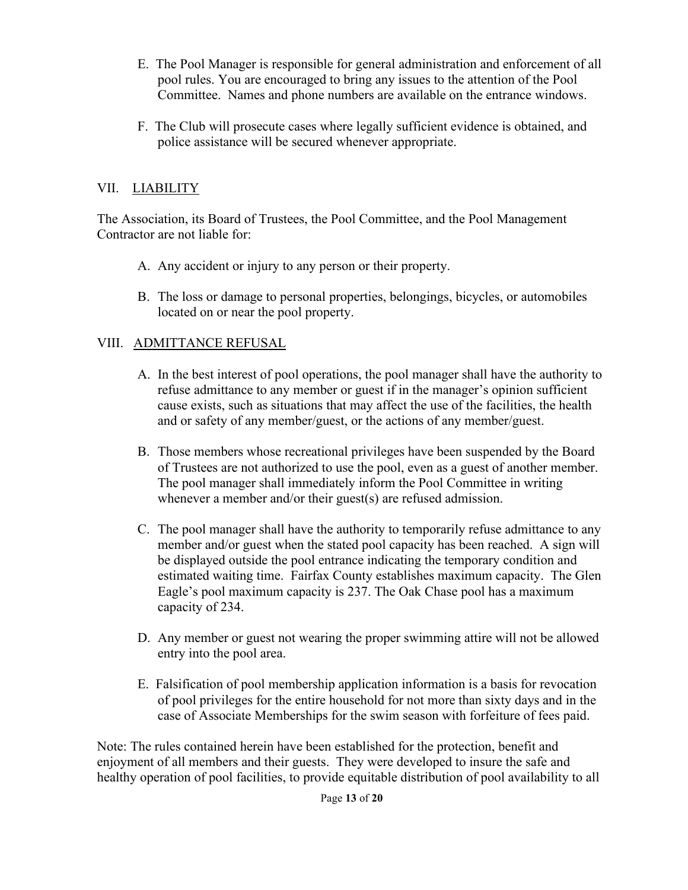- E. The Pool Manager is responsible for general administration and enforcement of all pool rules. You are encouraged to bring any issues to the attention of the Pool Committee. Names and phone numbers are available on the entrance windows.
- F. The Club will prosecute cases where legally sufficient evidence is obtained, and police assistance will be secured whenever appropriate.

## VII. LIABILITY

The Association, its Board of Trustees, the Pool Committee, and the Pool Management Contractor are not liable for:

- A. Any accident or injury to any person or their property.
- B. The loss or damage to personal properties, belongings, bicycles, or automobiles located on or near the pool property.

## VIII. ADMITTANCE REFUSAL

- A. In the best interest of pool operations, the pool manager shall have the authority to refuse admittance to any member or guest if in the manager's opinion sufficient cause exists, such as situations that may affect the use of the facilities, the health and or safety of any member/guest, or the actions of any member/guest.
- B. Those members whose recreational privileges have been suspended by the Board of Trustees are not authorized to use the pool, even as a guest of another member. The pool manager shall immediately inform the Pool Committee in writing whenever a member and/or their guest(s) are refused admission.
- C. The pool manager shall have the authority to temporarily refuse admittance to any member and/or guest when the stated pool capacity has been reached. A sign will be displayed outside the pool entrance indicating the temporary condition and estimated waiting time. Fairfax County establishes maximum capacity. The Glen Eagle's pool maximum capacity is 237. The Oak Chase pool has a maximum capacity of 234.
- D. Any member or guest not wearing the proper swimming attire will not be allowed entry into the pool area.
- E. Falsification of pool membership application information is a basis for revocation of pool privileges for the entire household for not more than sixty days and in the case of Associate Memberships for the swim season with forfeiture of fees paid.

Note: The rules contained herein have been established for the protection, benefit and enjoyment of all members and their guests. They were developed to insure the safe and healthy operation of pool facilities, to provide equitable distribution of pool availability to all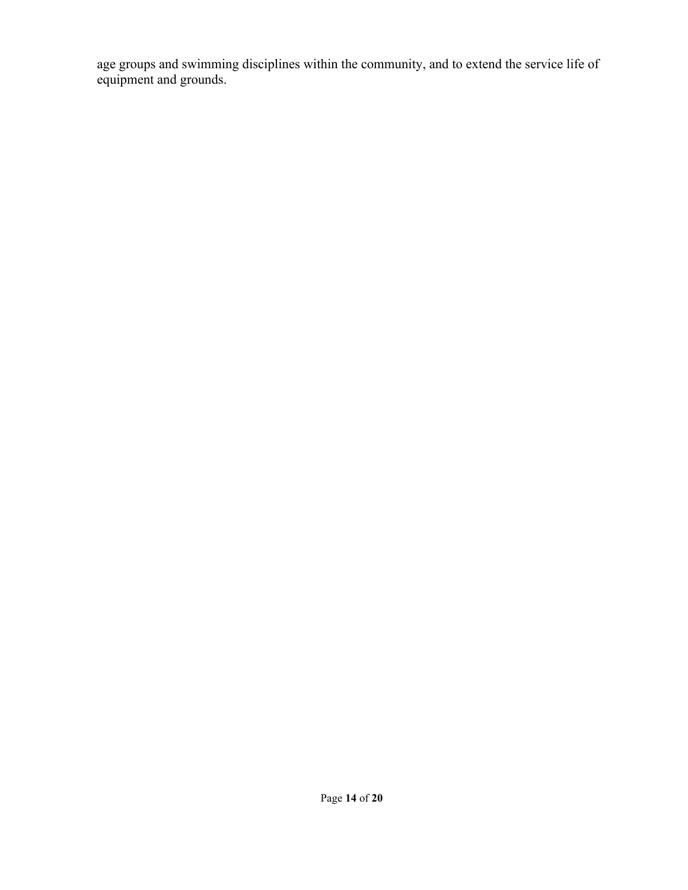age groups and swimming disciplines within the community, and to extend the service life of equipment and grounds.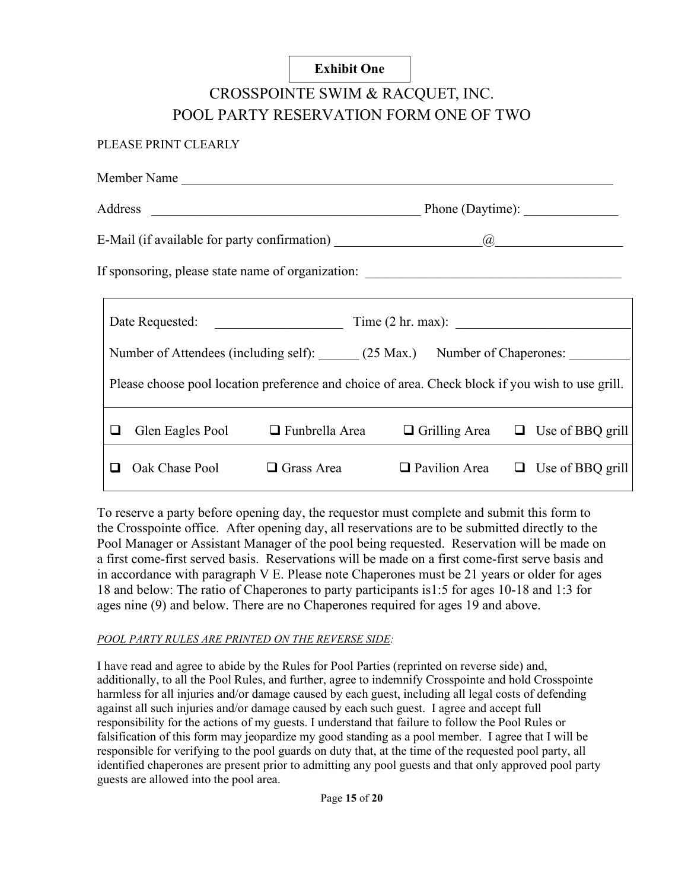#### **Exhibit One**

# CROSSPOINTE SWIM & RACQUET, INC. POOL PARTY RESERVATION FORM ONE OF TWO

#### PLEASE PRINT CLEARLY

|                                                                                                  | Member Name    |                                        |                                              |  |                         |
|--------------------------------------------------------------------------------------------------|----------------|----------------------------------------|----------------------------------------------|--|-------------------------|
| Phone (Daytime):                                                                                 |                |                                        |                                              |  |                         |
|                                                                                                  |                |                                        |                                              |  |                         |
| If sponsoring, please state name of organization: _______________________________                |                |                                        |                                              |  |                         |
|                                                                                                  |                |                                        |                                              |  |                         |
| Number of Attendees (including self): (25 Max.) Number of Chaperones:                            |                |                                        |                                              |  |                         |
| Please choose pool location preference and choice of area. Check block if you wish to use grill. |                |                                        |                                              |  |                         |
| ப                                                                                                |                | Glen Eagles Pool $\Box$ Funbrella Area | $\Box$ Grilling Area $\Box$ Use of BBQ grill |  |                         |
| ◻                                                                                                | Oak Chase Pool | $\Box$ Grass Area                      | $\Box$ Pavilion Area                         |  | $\Box$ Use of BBQ grill |

To reserve a party before opening day, the requestor must complete and submit this form to the Crosspointe office. After opening day, all reservations are to be submitted directly to the Pool Manager or Assistant Manager of the pool being requested. Reservation will be made on a first come-first served basis. Reservations will be made on a first come-first serve basis and in accordance with paragraph V E. Please note Chaperones must be 21 years or older for ages 18 and below: The ratio of Chaperones to party participants is1:5 for ages 10-18 and 1:3 for ages nine (9) and below. There are no Chaperones required for ages 19 and above.

#### *POOL PARTY RULES ARE PRINTED ON THE REVERSE SIDE:*

I have read and agree to abide by the Rules for Pool Parties (reprinted on reverse side) and, additionally, to all the Pool Rules, and further, agree to indemnify Crosspointe and hold Crosspointe harmless for all injuries and/or damage caused by each guest, including all legal costs of defending against all such injuries and/or damage caused by each such guest. I agree and accept full responsibility for the actions of my guests. I understand that failure to follow the Pool Rules or falsification of this form may jeopardize my good standing as a pool member. I agree that I will be responsible for verifying to the pool guards on duty that, at the time of the requested pool party, all identified chaperones are present prior to admitting any pool guests and that only approved pool party guests are allowed into the pool area.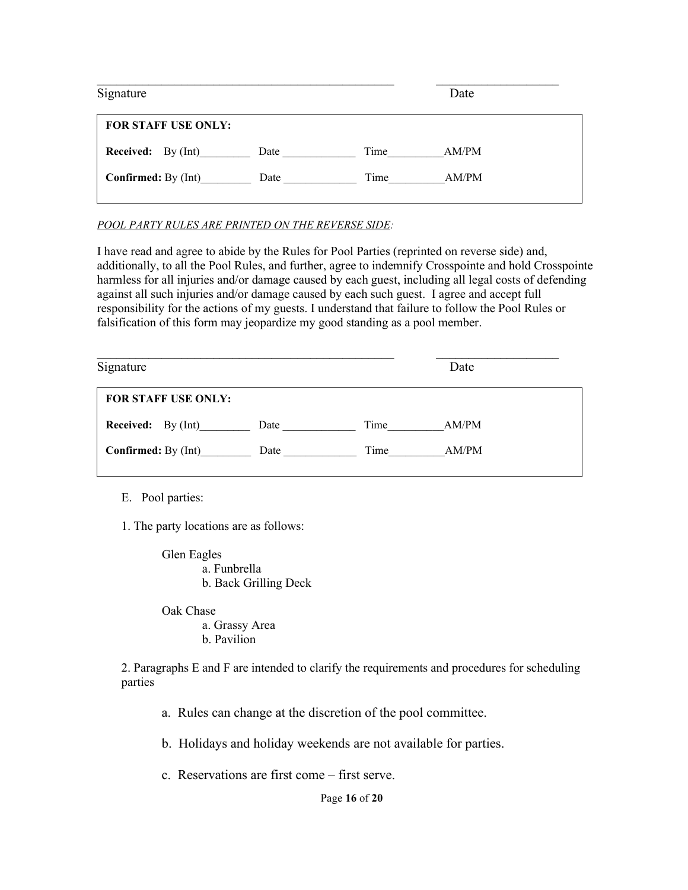| Time | AM/PM        |
|------|--------------|
| Time | AM/PM        |
|      | Date<br>Date |

#### *POOL PARTY RULES ARE PRINTED ON THE REVERSE SIDE:*

I have read and agree to abide by the Rules for Pool Parties (reprinted on reverse side) and, additionally, to all the Pool Rules, and further, agree to indemnify Crosspointe and hold Crosspointe harmless for all injuries and/or damage caused by each guest, including all legal costs of defending against all such injuries and/or damage caused by each such guest. I agree and accept full responsibility for the actions of my guests. I understand that failure to follow the Pool Rules or falsification of this form may jeopardize my good standing as a pool member.

| Signature                  |      | Date          |  |
|----------------------------|------|---------------|--|
| <b>FOR STAFF USE ONLY:</b> |      |               |  |
| <b>Received:</b> By (Int)  | Date | Time<br>AM/PM |  |
| <b>Confirmed:</b> By (Int) | Date | Time<br>AM/PM |  |
|                            |      |               |  |

E. Pool parties:

1. The party locations are as follows:

Glen Eagles a. Funbrella b. Back Grilling Deck

 Oak Chase a. Grassy Area b. Pavilion

2. Paragraphs E and F are intended to clarify the requirements and procedures for scheduling parties

a. Rules can change at the discretion of the pool committee.

b. Holidays and holiday weekends are not available for parties.

c. Reservations are first come – first serve.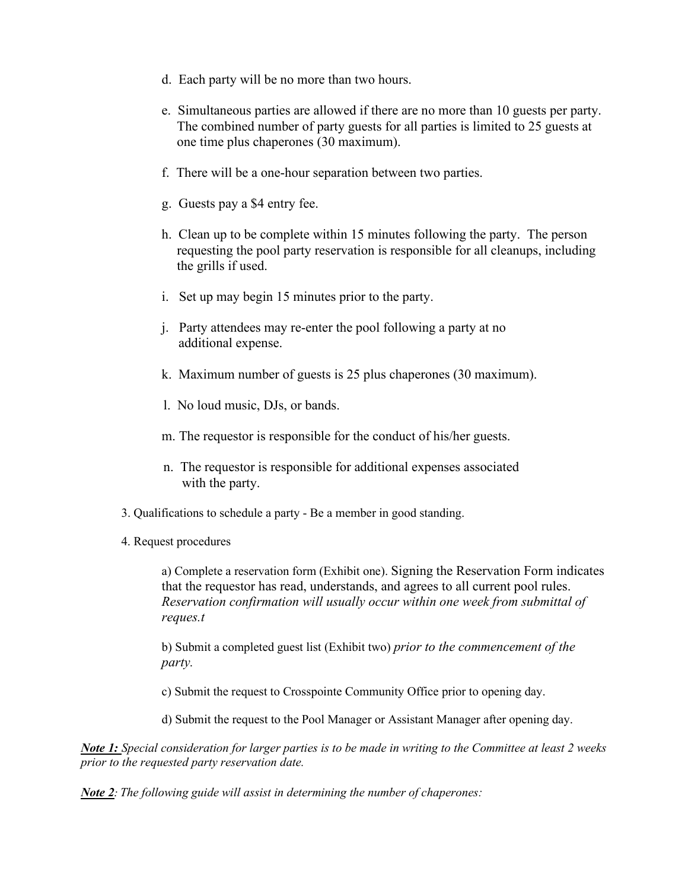- d. Each party will be no more than two hours.
- e. Simultaneous parties are allowed if there are no more than 10 guests per party. The combined number of party guests for all parties is limited to 25 guests at one time plus chaperones (30 maximum).
- f. There will be a one-hour separation between two parties.
- g. Guests pay a \$4 entry fee.
- h. Clean up to be complete within 15 minutes following the party. The person requesting the pool party reservation is responsible for all cleanups, including the grills if used.
- i. Set up may begin 15 minutes prior to the party.
- j. Party attendees may re-enter the pool following a party at no additional expense.
- k. Maximum number of guests is 25 plus chaperones (30 maximum).
- l. No loud music, DJs, or bands.
- m. The requestor is responsible for the conduct of his/her guests.
- n. The requestor is responsible for additional expenses associated with the party.
- 3. Qualifications to schedule a party Be a member in good standing.
- 4. Request procedures

a) Complete a reservation form (Exhibit one). Signing the Reservation Form indicates that the requestor has read, understands, and agrees to all current pool rules. *Reservation confirmation will usually occur within one week from submittal of reques.t* 

b) Submit a completed guest list (Exhibit two) *prior to the commencement of the party.*

c) Submit the request to Crosspointe Community Office prior to opening day.

d) Submit the request to the Pool Manager or Assistant Manager after opening day.

*Note 1: Special consideration for larger parties is to be made in writing to the Committee at least 2 weeks prior to the requested party reservation date.* 

*Note 2: The following guide will assist in determining the number of chaperones:*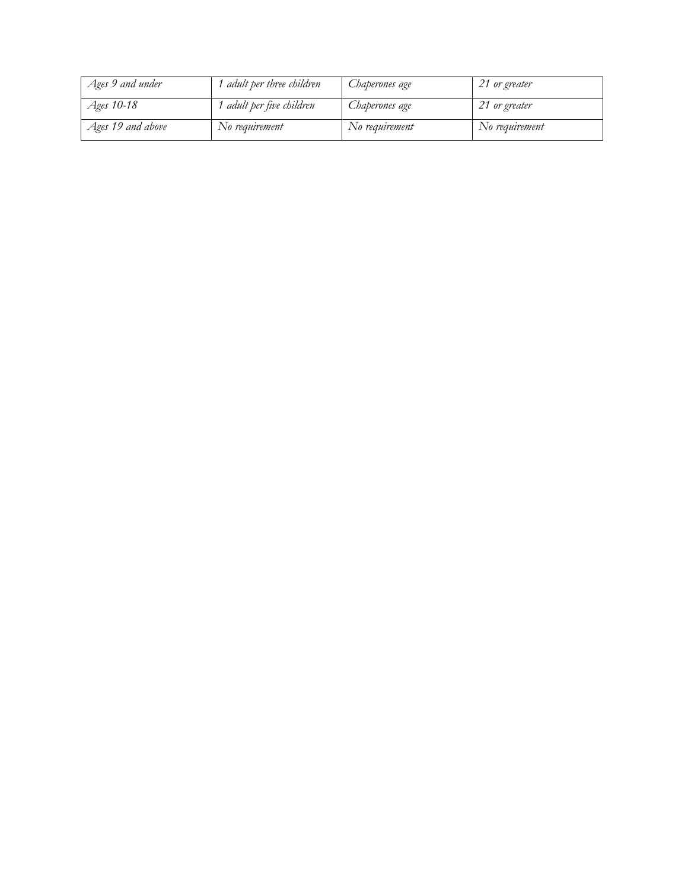| Ages 9 and under  | ' adult per three children | Chaperones age | 21 or greater  |
|-------------------|----------------------------|----------------|----------------|
| Ages 10-18        | adult per five children    | Chaperones age | 21 or greater  |
| Ages 19 and above | No requirement             | No requirement | No requirement |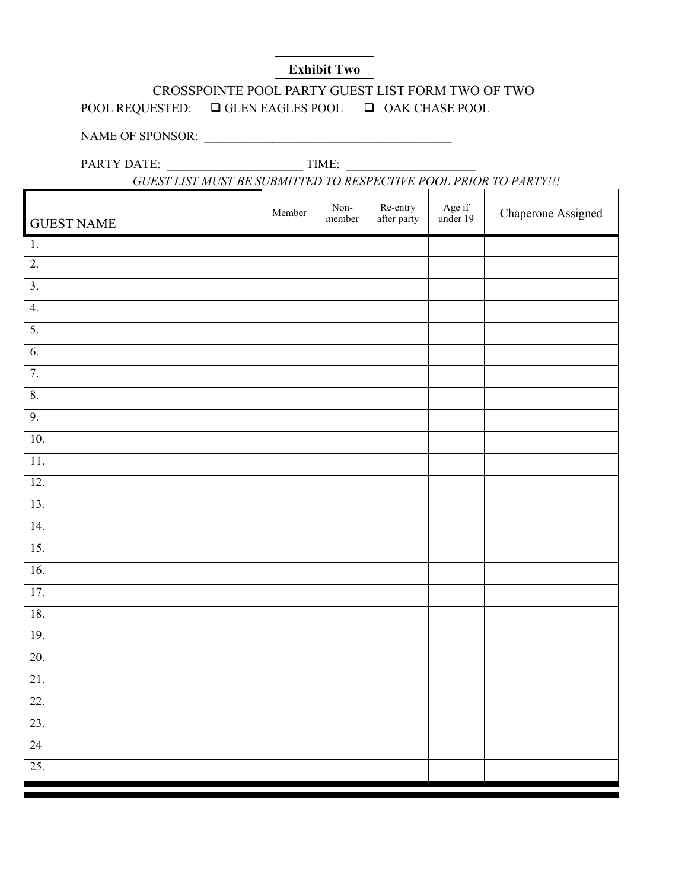### **Exhibit Two**

## CROSSPOINTE POOL PARTY GUEST LIST FORM TWO OF TWO

POOL REQUESTED: □ GLEN EAGLES POOL □ OAK CHASE POOL

NAME OF SPONSOR: \_\_\_\_\_\_\_\_\_\_\_\_\_\_\_\_\_\_\_\_\_\_\_\_\_\_\_\_\_\_\_\_\_\_\_\_\_\_\_\_

PARTY DATE: \_\_\_\_\_\_\_\_\_\_\_\_\_\_\_\_\_\_\_\_\_\_ TIME: \_\_\_\_\_\_\_\_\_\_\_\_\_\_\_\_\_\_\_\_\_

*GUEST LIST MUST BE SUBMITTED TO RESPECTIVE POOL PRIOR TO PARTY!!!*

| <b>GUEST NAME</b> | Member | $\,$ Non-<br>member | Re-entry<br>after party | Age if<br>under 19 | Chaperone Assigned |
|-------------------|--------|---------------------|-------------------------|--------------------|--------------------|
| 1.                |        |                     |                         |                    |                    |
| $\overline{2}$ .  |        |                     |                         |                    |                    |
| $\overline{3}$ .  |        |                     |                         |                    |                    |
| 4.                |        |                     |                         |                    |                    |
| $\overline{5}$ .  |        |                     |                         |                    |                    |
| 6.                |        |                     |                         |                    |                    |
| 7.                |        |                     |                         |                    |                    |
| $\boldsymbol{8}.$ |        |                     |                         |                    |                    |
| 9.                |        |                     |                         |                    |                    |
| 10.               |        |                     |                         |                    |                    |
| $\overline{11}$ . |        |                     |                         |                    |                    |
| 12.               |        |                     |                         |                    |                    |
| 13.               |        |                     |                         |                    |                    |
| $\overline{14}$ . |        |                     |                         |                    |                    |
| 15.               |        |                     |                         |                    |                    |
| 16.               |        |                     |                         |                    |                    |
| 17.               |        |                     |                         |                    |                    |
| 18.               |        |                     |                         |                    |                    |
| 19.               |        |                     |                         |                    |                    |
| 20.               |        |                     |                         |                    |                    |
| 21.               |        |                     |                         |                    |                    |
| 22.               |        |                     |                         |                    |                    |
| 23.               |        |                     |                         |                    |                    |
| $\overline{24}$   |        |                     |                         |                    |                    |
| 25.               |        |                     |                         |                    |                    |